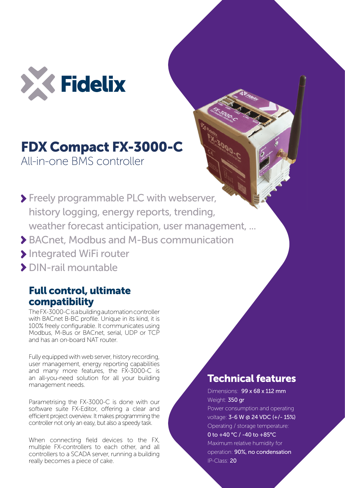

## FDX Compact FX-3000-C

All-in-one BMS controller

- Freely programmable PLC with webserver, history logging, energy reports, trending, weather forecast anticipation, user management, ...
- BACnet, Modbus and M-Bus communication
- Integrated WiFi router
- DIN-rail mountable

## Full control, ultimate compatibility

The FX-3000-C is a building automation controller with BACnet B-BC profile. Unique in its kind, it is 100% freely configurable. It communicates using Modbus, M-Bus or BACnet, serial, UDP or TCP and has an on-board NAT router.

Fully equipped with web server, history recording, user management, energy reporting capabilities and many more features, the FX-3000-C is an all-you-need solution for all your building management needs.

Parametrising the FX-3000-C is done with our software suite FX-Editor, offering a clear and efficient project overview. It makes programming the controller not only an easy, but also a speedy task.

When connecting field devices to the FX, multiple FX-controllers to each other, and all controllers to a SCADA server, running a building really becomes a piece of cake.

## Technical features

Dimensions: 99 x 68 x 112 mm Weight: 350 gr Power consumption and operating voltage: 3-6 W @ 24 VDC (+/- 15%) Operating / storage temperature: 0 to +40 °C / -40 to +85°C Maximum relative humidity for operation: 90%, no condensation IP-Class: 20